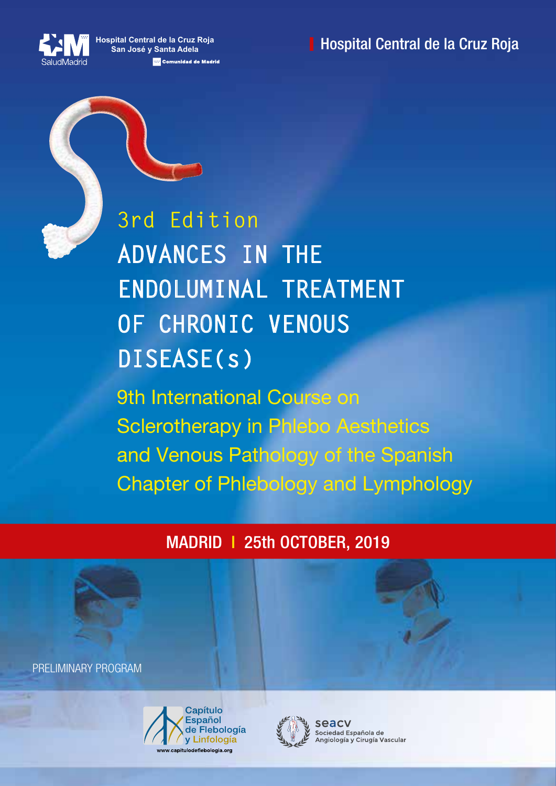**Hospital Central de la Cruz Roja San José y Santa Adela Em Comunidad de Madrid**  **Hospital Central de la Cruz Roja** 



9th International Course on Sclerotherapy in Phlebo Aesthetics and Venous Pathology of the Spanish **ADVANCES IN THE ENDOLUMINAL TREATMENT OF CHRONIC VENOUS DISEASE(s) 3rd Edition**

Chapter of Phlebology and Lymphology

MADRID I 25th OCTOBER, 2019

PRELIMINARY PROGRAM





seacy Sociedad Española de Angiología y Cirugía Vascular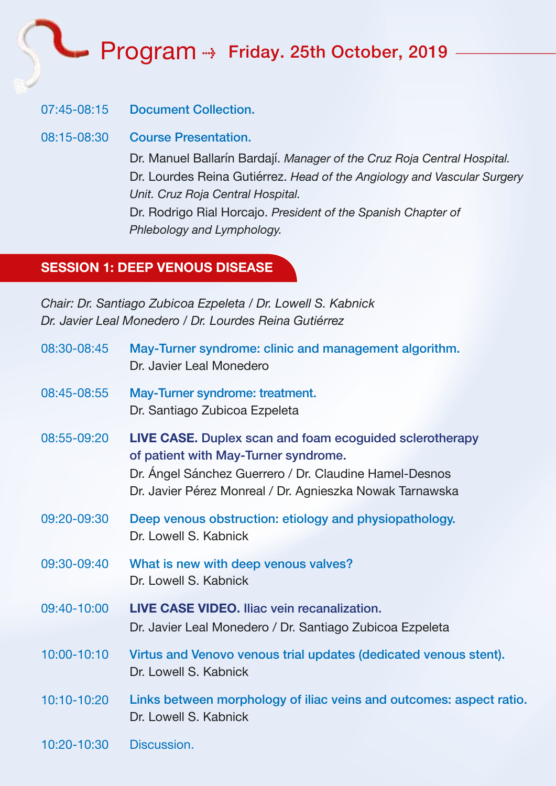Program ->> Friday. 25th October, 2019

#### 07:45-08:15 Document Collection.

08:15-08:30 Course Presentation.

Dr. Manuel Ballarín Bardají. *Manager of the Cruz Roja Central Hospital.* Dr. Lourdes Reina Gutiérrez. *Head of the Angiology and Vascular Surgery Unit. Cruz Roja Central Hospital.* Dr. Rodrigo Rial Horcajo. *President of the Spanish Chapter of Phlebology and Lymphology.*

#### **SESSION 1: DEEP VENOUS DISEASE**

*Chair: Dr. Santiago Zubicoa Ezpeleta / Dr. Lowell S. Kabnick Dr. Javier Leal Monedero / Dr. Lourdes Reina Gutiérrez*

| 08:30-08:45 | May-Turner syndrome: clinic and management algorithm.<br>Dr. Javier Leal Monedero                                                                                                                                     |
|-------------|-----------------------------------------------------------------------------------------------------------------------------------------------------------------------------------------------------------------------|
| 08:45-08:55 | May-Turner syndrome: treatment.<br>Dr. Santiago Zubicoa Ezpeleta                                                                                                                                                      |
| 08:55-09:20 | LIVE CASE. Duplex scan and foam ecoguided sclerotherapy<br>of patient with May-Turner syndrome.<br>Dr. Ángel Sánchez Guerrero / Dr. Claudine Hamel-Desnos<br>Dr. Javier Pérez Monreal / Dr. Agnieszka Nowak Tarnawska |
| 09:20-09:30 | Deep venous obstruction: etiology and physiopathology.<br>Dr. Lowell S. Kabnick                                                                                                                                       |
| 09:30-09:40 | What is new with deep venous valves?<br>Dr. Lowell S. Kabnick                                                                                                                                                         |
| 09:40-10:00 | LIVE CASE VIDEO. Iliac vein recanalization.<br>Dr. Javier Leal Monedero / Dr. Santiago Zubicoa Ezpeleta                                                                                                               |
| 10:00-10:10 | Virtus and Venovo venous trial updates (dedicated venous stent).<br>Dr. Lowell S. Kabnick                                                                                                                             |
| 10:10-10:20 | Links between morphology of iliac veins and outcomes: aspect ratio.<br>Dr. Lowell S. Kabnick                                                                                                                          |
| 10:20-10:30 | Discussion.                                                                                                                                                                                                           |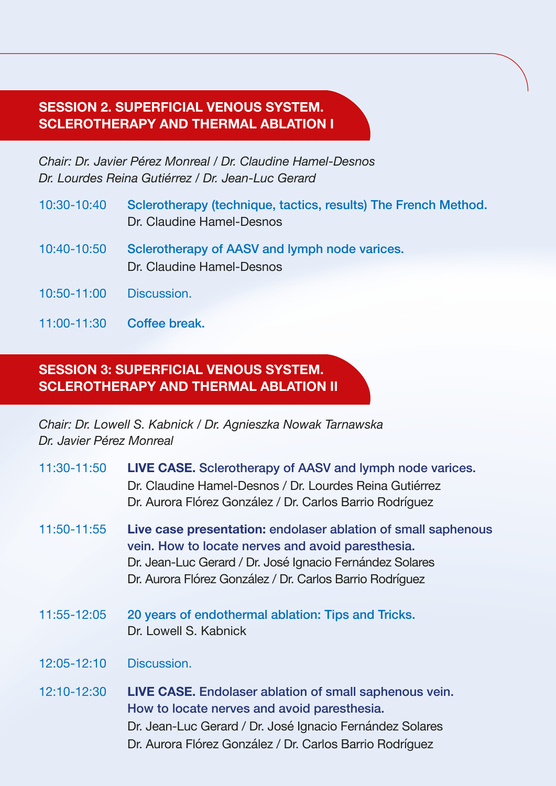#### **SESSION 2. SUPERFICIAL VENOUS SYSTEM. SCLEROTHERAPY AND THERMAL ABLATION I**

*Chair: Dr. Javier Pérez Monreal / Dr. Claudine Hamel-Desnos Dr. Lourdes Reina Gutiérrez / Dr. Jean-Luc Gerard*

- 10:30-10:40 Sclerotherapy (technique, tactics, results) The French Method. Dr. Claudine Hamel-Desnos
- 10:40-10:50 Sclerotherapy of AASV and lymph node varices. Dr. Claudine Hamel-Desnos
- 10:50-11:00 Discussion.
- 11:00-11:30 Coffee break.

#### **SESSION 3: SUPERFICIAL VENOUS SYSTEM. SCLEROTHERAPY AND THERMAL ABLATION II**

*Chair: Dr. Lowell S. Kabnick / Dr. Agnieszka Nowak Tarnawska Dr. Javier Pérez Monreal*

| 11:30-11:50 | <b>LIVE CASE.</b> Sclerotherapy of AASV and lymph node varices.<br>Dr. Claudine Hamel-Desnos / Dr. Lourdes Reina Gutiérrez<br>Dr. Aurora Flórez González / Dr. Carlos Barrio Rodríguez                                                     |
|-------------|--------------------------------------------------------------------------------------------------------------------------------------------------------------------------------------------------------------------------------------------|
| 11:50-11:55 | Live case presentation: endolaser ablation of small saphenous<br>vein. How to locate nerves and avoid paresthesia.<br>Dr. Jean-Luc Gerard / Dr. José Ignacio Fernández Solares<br>Dr. Aurora Flórez González / Dr. Carlos Barrio Rodríguez |
| 11:55-12:05 | 20 years of endothermal ablation: Tips and Tricks.<br>Dr. Lowell S. Kabnick                                                                                                                                                                |
| 12:05-12:10 | Discussion.                                                                                                                                                                                                                                |
| 12:10-12:30 | LIVE CASE. Endolaser ablation of small saphenous vein.<br>How to locate nerves and avoid paresthesia.<br>Dr. Jean-Luc Gerard / Dr. José Ignacio Fernández Solares<br>Dr. Aurora Flórez González / Dr. Carlos Barrio Rodríguez              |
|             |                                                                                                                                                                                                                                            |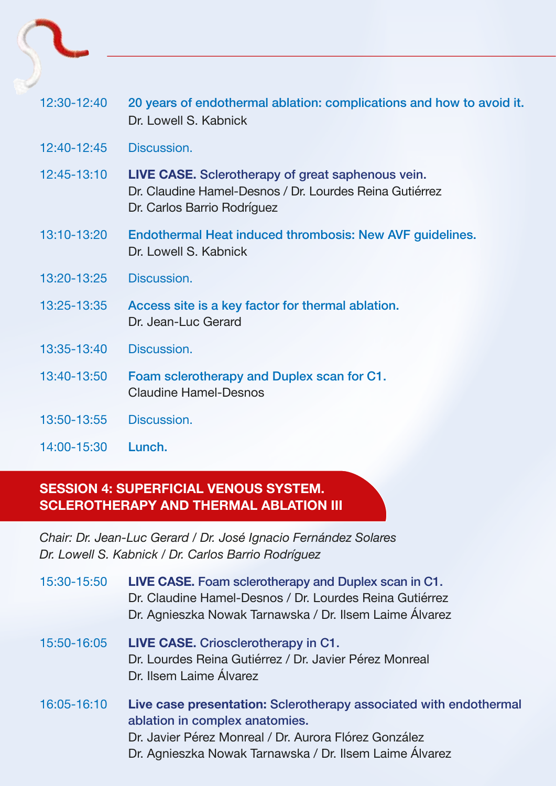| $12:30-12:40$ | 20 years of endothermal ablation: complications and how to avoid it.<br>Dr. Lowell S. Kabnick                                                      |
|---------------|----------------------------------------------------------------------------------------------------------------------------------------------------|
| 12:40-12:45   | Discussion.                                                                                                                                        |
| 12:45-13:10   | <b>LIVE CASE.</b> Sclerotherapy of great saphenous vein.<br>Dr. Claudine Hamel-Desnos / Dr. Lourdes Reina Gutiérrez<br>Dr. Carlos Barrio Rodríguez |
| 13:10-13:20   | Endothermal Heat induced thrombosis: New AVF guidelines.<br>Dr. Lowell S. Kabnick                                                                  |
| 13:20-13:25   | Discussion.                                                                                                                                        |
| 13:25-13:35   | Access site is a key factor for thermal ablation.<br>Dr. Jean-Luc Gerard                                                                           |
| 13:35-13:40   | Discussion.                                                                                                                                        |
| 13:40-13:50   | Foam sclerotherapy and Duplex scan for C1.<br>Claudine Hamel-Desnos                                                                                |
| 13:50-13:55   | Discussion.                                                                                                                                        |
| 14:00-15:30   | Lunch.                                                                                                                                             |

### **SESSION 4: SUPERFICIAL VENOUS SYSTEM. SCLEROTHERAPY AND THERMAL ABLATION III**

*Chair: Dr. Jean-Luc Gerard / Dr. José Ignacio Fernández Solares Dr. Lowell S. Kabnick / Dr. Carlos Barrio Rodríguez*

| 15:30-15:50 | LIVE CASE. Foam sclerotherapy and Duplex scan in C1.<br>Dr. Claudine Hamel-Desnos / Dr. Lourdes Reina Gutiérrez<br>Dr. Agnieszka Nowak Tarnawska / Dr. Ilsem Laime Álvarez                                              |
|-------------|-------------------------------------------------------------------------------------------------------------------------------------------------------------------------------------------------------------------------|
| 15:50-16:05 | LIVE CASE. Criosclerotherapy in C1.<br>Dr. Lourdes Reina Gutiérrez / Dr. Javier Pérez Monreal<br>Dr. Ilsem Laime Álvarez                                                                                                |
| 16:05-16:10 | Live case presentation: Sclerotherapy associated with endothermal<br>ablation in complex anatomies.<br>Dr. Javier Pérez Monreal / Dr. Aurora Flórez González<br>Dr. Agnieszka Nowak Tarnawska / Dr. Ilsem Laime Álvarez |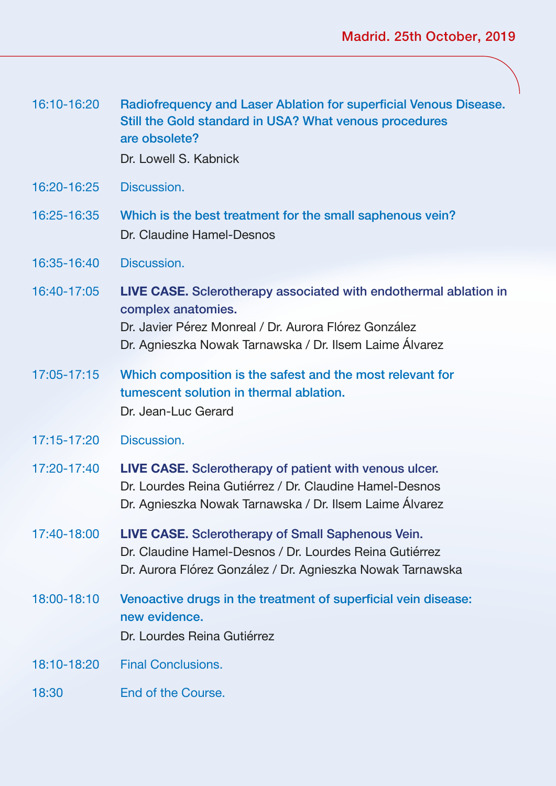| 16:10-16:20 | Radiofrequency and Laser Ablation for superficial Venous Disease.<br>Still the Gold standard in USA? What venous procedures<br>are obsolete?<br>Dr. Lowell S. Kabnick                                      |
|-------------|------------------------------------------------------------------------------------------------------------------------------------------------------------------------------------------------------------|
| 16:20-16:25 | Discussion.                                                                                                                                                                                                |
| 16:25-16:35 | Which is the best treatment for the small saphenous vein?<br>Dr. Claudine Hamel-Desnos                                                                                                                     |
| 16:35-16:40 | Discussion.                                                                                                                                                                                                |
| 16:40-17:05 | LIVE CASE. Sclerotherapy associated with endothermal ablation in<br>complex anatomies.<br>Dr. Javier Pérez Monreal / Dr. Aurora Flórez González<br>Dr. Agnieszka Nowak Tarnawska / Dr. Ilsem Laime Álvarez |
| 17:05-17:15 | Which composition is the safest and the most relevant for<br>tumescent solution in thermal ablation.<br>Dr. Jean-Luc Gerard                                                                                |
| 17:15-17:20 | Discussion.                                                                                                                                                                                                |
| 17:20-17:40 | LIVE CASE. Sclerotherapy of patient with venous ulcer.<br>Dr. Lourdes Reina Gutiérrez / Dr. Claudine Hamel-Desnos<br>Dr. Agnieszka Nowak Tarnawska / Dr. Ilsem Laime Álvarez                               |
| 17:40-18:00 | LIVE CASE. Sclerotherapy of Small Saphenous Vein.<br>Dr. Claudine Hamel-Desnos / Dr. Lourdes Reina Gutiérrez<br>Dr. Aurora Flórez González / Dr. Agnieszka Nowak Tarnawska                                 |
| 18:00-18:10 | Venoactive drugs in the treatment of superficial vein disease:<br>new evidence.<br>Dr. Lourdes Reina Gutiérrez                                                                                             |
| 18:10-18:20 | <b>Final Conclusions.</b>                                                                                                                                                                                  |
| 18:30       | End of the Course.                                                                                                                                                                                         |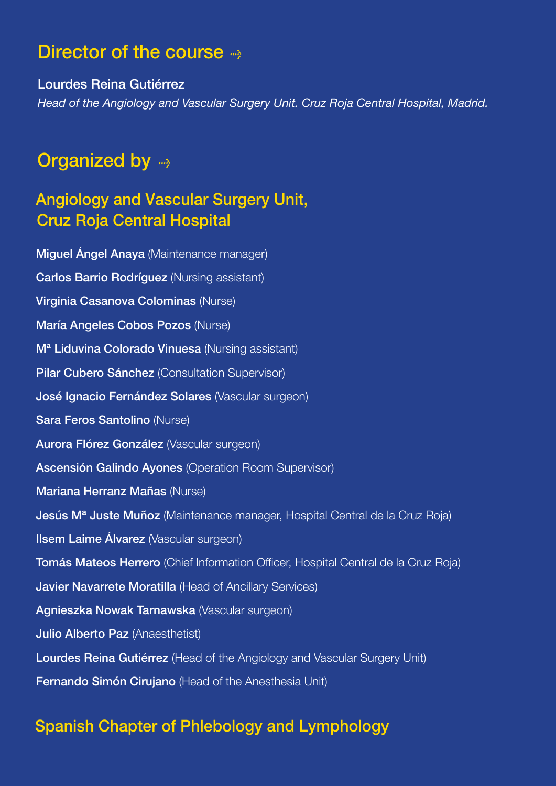## Director of the course  $\rightarrow$

Lourdes Reina Gutiérrez *Head of the Angiology and Vascular Surgery Unit. Cruz Roja Central Hospital, Madrid.*

# Organized by

### Angiology and Vascular Surgery Unit, Cruz Roja Central Hospital

Miguel Ángel Anaya (Maintenance manager) Carlos Barrio Rodríguez (Nursing assistant) Virginia Casanova Colominas (Nurse) María Angeles Cobos Pozos (Nurse) Mª Liduvina Colorado Vinuesa (Nursing assistant) Pilar Cubero Sánchez (Consultation Supervisor) José Ignacio Fernández Solares (Vascular surgeon) Sara Feros Santolino (Nurse) Aurora Flórez González (Vascular surgeon) Ascensión Galindo Ayones (Operation Room Supervisor) Mariana Herranz Mañas (Nurse) Jesús M<sup>a</sup> Juste Muñoz (Maintenance manager, Hospital Central de la Cruz Roja) **Ilsem Laime Álvarez** (Vascular surgeon) Tomás Mateos Herrero (Chief Information Officer, Hospital Central de la Cruz Roja) Javier Navarrete Moratilla (Head of Ancillary Services) Agnieszka Nowak Tarnawska (Vascular surgeon) Julio Alberto Paz (Anaesthetist) Lourdes Reina Gutiérrez (Head of the Angiology and Vascular Surgery Unit) Fernando Simón Cirujano (Head of the Anesthesia Unit)

### Spanish Chapter of Phlebology and Lymphology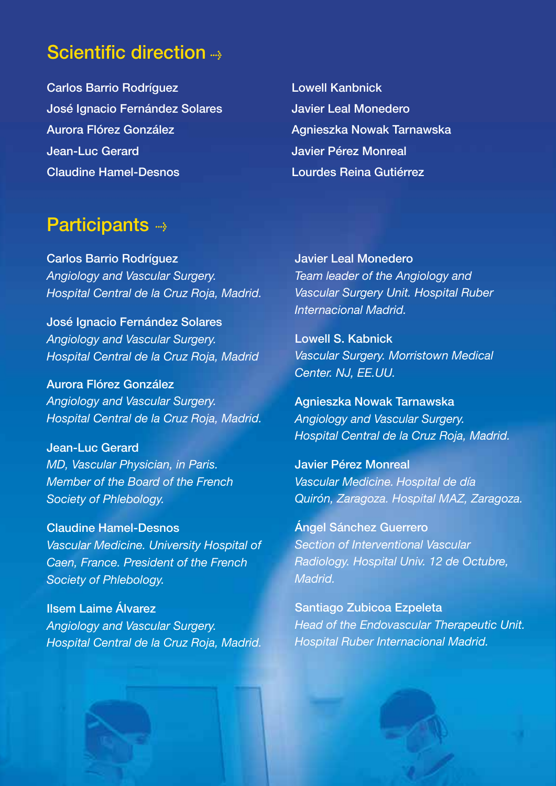# Scientific direction -

Carlos Barrio Rodríguez José Ignacio Fernández Solares Aurora Flórez González Jean-Luc Gerard Claudine Hamel-Desnos

Lowell Kanbnick Javier Leal Monedero Agnieszka Nowak Tarnawska Javier Pérez Monreal Lourdes Reina Gutiérrez

## Participants --

Carlos Barrio Rodríguez *Angiology and Vascular Surgery. Hospital Central de la Cruz Roja, Madrid.*

José Ignacio Fernández Solares *Angiology and Vascular Surgery. Hospital Central de la Cruz Roja, Madrid*

Aurora Flórez González *Angiology and Vascular Surgery. Hospital Central de la Cruz Roja, Madrid.*

Jean-Luc Gerard *MD, Vascular Physician, in Paris. Member of the Board of the French Society of Phlebology.*

Claudine Hamel-Desnos *Vascular Medicine. University Hospital of Caen, France. President of the French Society of Phlebology.*

Ilsem Laime Álvarez *Angiology and Vascular Surgery. Hospital Central de la Cruz Roja, Madrid.* Javier Leal Monedero *Team leader of the Angiology and Vascular Surgery Unit. Hospital Ruber Internacional Madrid.* 

Lowell S. Kabnick *Vascular Surgery. Morristown Medical Center. NJ, EE.UU.*

Agnieszka Nowak Tarnawska *Angiology and Vascular Surgery. Hospital Central de la Cruz Roja, Madrid.*

Javier Pérez Monreal *Vascular Medicine. Hospital de día Quirón, Zaragoza. Hospital MAZ, Zaragoza.*

Ángel Sánchez Guerrero *Section of Interventional Vascular Radiology. Hospital Univ. 12 de Octubre, Madrid.*

Santiago Zubicoa Ezpeleta *Head of the Endovascular Therapeutic Unit. Hospital Ruber Internacional Madrid.*